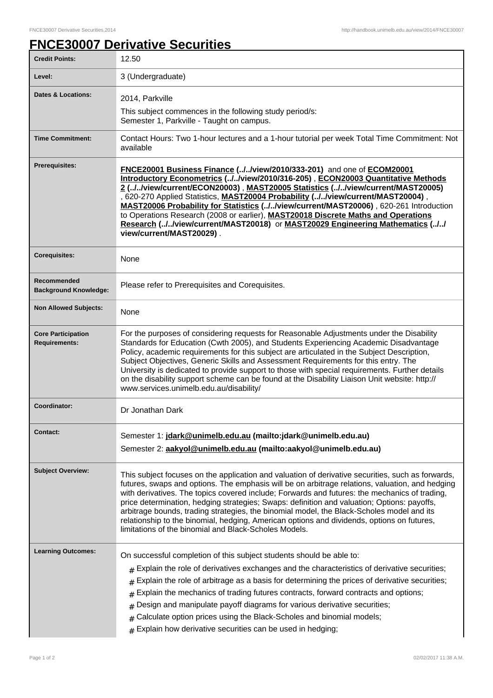## **FNCE30007 Derivative Securities**

| <b>Credit Points:</b>                             | 12.50                                                                                                                                                                                                                                                                                                                                                                                                                                                                                                                                                                                                                                                    |
|---------------------------------------------------|----------------------------------------------------------------------------------------------------------------------------------------------------------------------------------------------------------------------------------------------------------------------------------------------------------------------------------------------------------------------------------------------------------------------------------------------------------------------------------------------------------------------------------------------------------------------------------------------------------------------------------------------------------|
| Level:                                            | 3 (Undergraduate)                                                                                                                                                                                                                                                                                                                                                                                                                                                                                                                                                                                                                                        |
| <b>Dates &amp; Locations:</b>                     | 2014, Parkville                                                                                                                                                                                                                                                                                                                                                                                                                                                                                                                                                                                                                                          |
|                                                   | This subject commences in the following study period/s:<br>Semester 1, Parkville - Taught on campus.                                                                                                                                                                                                                                                                                                                                                                                                                                                                                                                                                     |
| <b>Time Commitment:</b>                           | Contact Hours: Two 1-hour lectures and a 1-hour tutorial per week Total Time Commitment: Not<br>available                                                                                                                                                                                                                                                                                                                                                                                                                                                                                                                                                |
| <b>Prerequisites:</b>                             | FNCE20001 Business Finance (//view/2010/333-201) and one of ECOM20001<br>Introductory Econometrics (//view/2010/316-205), ECON20003 Quantitative Methods<br>2 (//view/current/ECON20003), MAST20005 Statistics (//view/current/MAST20005)<br>, 620-270 Applied Statistics, MAST20004 Probability (.J.Jview/current/MAST20004),<br>MAST20006 Probability for Statistics (.J.Jview/current/MAST20006), 620-261 Introduction<br>to Operations Research (2008 or earlier), MAST20018 Discrete Maths and Operations<br>Research (//view/current/MAST20018) or MAST20029 Engineering Mathematics (//<br>view/current/MAST20029).                               |
| <b>Corequisites:</b>                              | None                                                                                                                                                                                                                                                                                                                                                                                                                                                                                                                                                                                                                                                     |
| Recommended<br><b>Background Knowledge:</b>       | Please refer to Prerequisites and Corequisites.                                                                                                                                                                                                                                                                                                                                                                                                                                                                                                                                                                                                          |
| <b>Non Allowed Subjects:</b>                      | None                                                                                                                                                                                                                                                                                                                                                                                                                                                                                                                                                                                                                                                     |
| <b>Core Participation</b><br><b>Requirements:</b> | For the purposes of considering requests for Reasonable Adjustments under the Disability<br>Standards for Education (Cwth 2005), and Students Experiencing Academic Disadvantage<br>Policy, academic requirements for this subject are articulated in the Subject Description,<br>Subject Objectives, Generic Skills and Assessment Requirements for this entry. The<br>University is dedicated to provide support to those with special requirements. Further details<br>on the disability support scheme can be found at the Disability Liaison Unit website: http://<br>www.services.unimelb.edu.au/disability/                                       |
| Coordinator:                                      | Dr Jonathan Dark                                                                                                                                                                                                                                                                                                                                                                                                                                                                                                                                                                                                                                         |
| <b>Contact:</b>                                   | Semester 1: jdark@unimelb.edu.au (mailto:jdark@unimelb.edu.au)<br>Semester 2: aakyol@unimelb.edu.au (mailto:aakyol@unimelb.edu.au)                                                                                                                                                                                                                                                                                                                                                                                                                                                                                                                       |
| <b>Subject Overview:</b>                          | This subject focuses on the application and valuation of derivative securities, such as forwards,<br>futures, swaps and options. The emphasis will be on arbitrage relations, valuation, and hedging<br>with derivatives. The topics covered include; Forwards and futures: the mechanics of trading,<br>price determination, hedging strategies; Swaps: definition and valuation; Options: payoffs,<br>arbitrage bounds, trading strategies, the binomial model, the Black-Scholes model and its<br>relationship to the binomial, hedging, American options and dividends, options on futures,<br>limitations of the binomial and Black-Scholes Models. |
| <b>Learning Outcomes:</b>                         | On successful completion of this subject students should be able to:<br>$#$ Explain the role of derivatives exchanges and the characteristics of derivative securities;<br>Explain the role of arbitrage as a basis for determining the prices of derivative securities;<br>#<br>Explain the mechanics of trading futures contracts, forward contracts and options;<br>#<br>Design and manipulate payoff diagrams for various derivative securities;<br>#<br>Calculate option prices using the Black-Scholes and binomial models;<br>$#$ Explain how derivative securities can be used in hedging;                                                       |